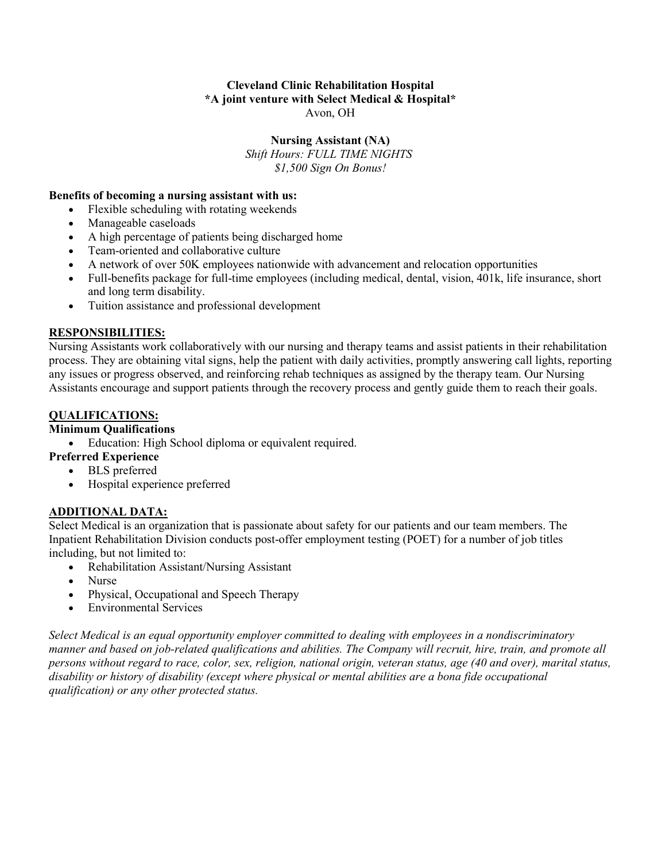#### **Cleveland Clinic Rehabilitation Hospital \*A joint venture with Select Medical & Hospital\*** Avon, OH

# **Nursing Assistant (NA)**

*Shift Hours: FULL TIME NIGHTS \$1,500 Sign On Bonus!*

#### **Benefits of becoming a nursing assistant with us:**

- Flexible scheduling with rotating weekends
- Manageable caseloads
- A high percentage of patients being discharged home
- Team-oriented and collaborative culture
- A network of over 50K employees nationwide with advancement and relocation opportunities
- Full-benefits package for full-time employees (including medical, dental, vision, 401k, life insurance, short and long term disability.
- Tuition assistance and professional development

#### **RESPONSIBILITIES:**

Nursing Assistants work collaboratively with our nursing and therapy teams and assist patients in their rehabilitation process. They are obtaining vital signs, help the patient with daily activities, promptly answering call lights, reporting any issues or progress observed, and reinforcing rehab techniques as assigned by the therapy team. Our Nursing Assistants encourage and support patients through the recovery process and gently guide them to reach their goals.

# **QUALIFICATIONS:**

# **Minimum Qualifications**

• Education: High School diploma or equivalent required.

# **Preferred Experience**

- BLS preferred
- Hospital experience preferred

# **ADDITIONAL DATA:**

Select Medical is an organization that is passionate about safety for our patients and our team members. The Inpatient Rehabilitation Division conducts post-offer employment testing (POET) for a number of job titles including, but not limited to:

- Rehabilitation Assistant/Nursing Assistant
- Nurse
- Physical, Occupational and Speech Therapy
- Environmental Services

*Select Medical is an equal opportunity employer committed to dealing with employees in a nondiscriminatory manner and based on job-related qualifications and abilities. The Company will recruit, hire, train, and promote all persons without regard to race, color, sex, religion, national origin, veteran status, age (40 and over), marital status, disability or history of disability (except where physical or mental abilities are a bona fide occupational qualification) or any other protected status.*